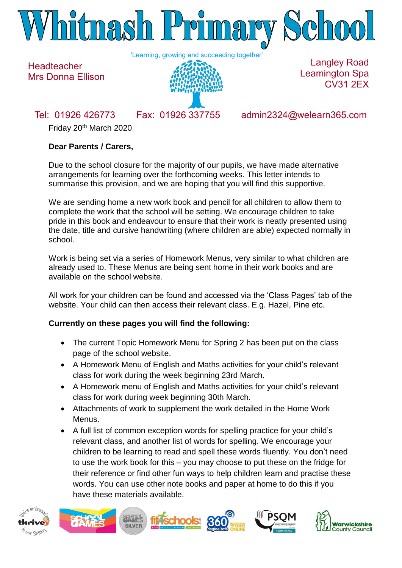

'Learning, growing and succeeding together'



Langley Road Leamington Spa CV31 2EX

**Headteacher** 

Mrs Donna Ellison

Tel: 01926 426773 Fax: 01926 337755 admin2324@welearn365.com

Friday 20th March 2020

# **Dear Parents / Carers,**

Due to the school closure for the majority of our pupils, we have made alternative arrangements for learning over the forthcoming weeks. This letter intends to summarise this provision, and we are hoping that you will find this supportive.

We are sending home a new work book and pencil for all children to allow them to complete the work that the school will be setting. We encourage children to take pride in this book and endeavour to ensure that their work is neatly presented using the date, title and cursive handwriting (where children are able) expected normally in school.

Work is being set via a series of Homework Menus, very similar to what children are already used to. These Menus are being sent home in their work books and are available on the school website.

All work for your children can be found and accessed via the 'Class Pages' tab of the website. Your child can then access their relevant class. E.g. Hazel, Pine etc.

## **Currently on these pages you will find the following:**

- The current Topic Homework Menu for Spring 2 has been put on the class page of the school website.
- A Homework Menu of English and Maths activities for your child's relevant class for work during the week beginning 23rd March.
- A Homework menu of English and Maths activities for your child's relevant class for work during week beginning 30th March.
- Attachments of work to supplement the work detailed in the Home Work Menus.
- A full list of common exception words for spelling practice for your child's relevant class, and another list of words for spelling. We encourage your children to be learning to read and spell these words fluently. You don't need to use the work book for this – you may choose to put these on the fridge for their reference or find other fun ways to help children learn and practise these words. You can use other note books and paper at home to do this if you have these materials available.



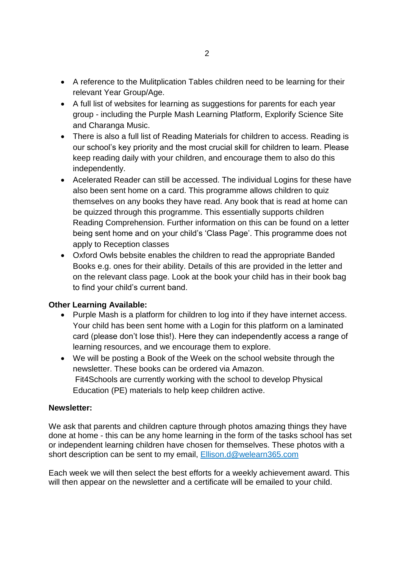- A reference to the Mulitplication Tables children need to be learning for their relevant Year Group/Age.
- A full list of websites for learning as suggestions for parents for each year group - including the Purple Mash Learning Platform, Explorify Science Site and Charanga Music.
- There is also a full list of Reading Materials for children to access. Reading is our school's key priority and the most crucial skill for children to learn. Please keep reading daily with your children, and encourage them to also do this independently.
- Acelerated Reader can still be accessed. The individual Logins for these have also been sent home on a card. This programme allows children to quiz themselves on any books they have read. Any book that is read at home can be quizzed through this programme. This essentially supports children Reading Comprehension. Further information on this can be found on a letter being sent home and on your child's 'Class Page'. This programme does not apply to Reception classes
- Oxford Owls bebsite enables the children to read the appropriate Banded Books e.g. ones for their ability. Details of this are provided in the letter and on the relevant class page. Look at the book your child has in their book bag to find your child's current band.

## **Other Learning Available:**

- Purple Mash is a platform for children to log into if they have internet access. Your child has been sent home with a Login for this platform on a laminated card (please don't lose this!). Here they can independently access a range of learning resources, and we encourage them to explore.
- We will be posting a Book of the Week on the school website through the newsletter. These books can be ordered via Amazon. Fit4Schools are currently working with the school to develop Physical Education (PE) materials to help keep children active.

#### **Newsletter:**

We ask that parents and children capture through photos amazing things they have done at home - this can be any home learning in the form of the tasks school has set or independent learning children have chosen for themselves. These photos with a short description can be sent to my email, [Ellison.d@welearn365.com](mailto:Ellison.d@welearn365.com)

Each week we will then select the best efforts for a weekly achievement award. This will then appear on the newsletter and a certificate will be emailed to your child.